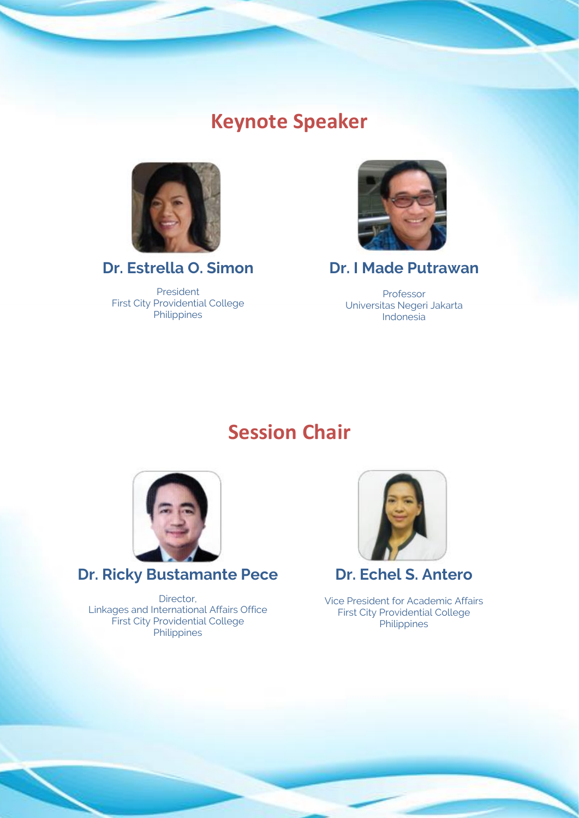## **Keynote Speaker**



**Dr. Estrella O. Simon**

President First City Providential College Philippines



**Dr. I Made Putrawan**

Professor Universitas Negeri Jakarta Indonesia

## **Session Chair**



**Dr. Ricky Bustamante Pece**

Director, Linkages and International Affairs Office First City Providential College **Philippines** 



**Dr. Echel S. Antero**

Vice President for Academic Affairs First City Providential College **Philippines**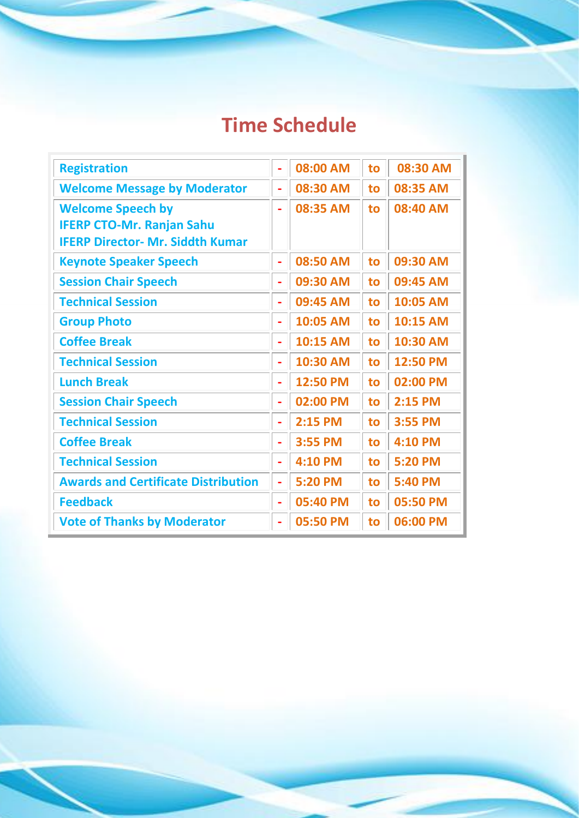## **Time Schedule**

| <b>Registration</b>                        |   | 08:00 AM | to | 08:30 AM |
|--------------------------------------------|---|----------|----|----------|
| <b>Welcome Message by Moderator</b>        |   | 08:30 AM | to | 08:35 AM |
| <b>Welcome Speech by</b>                   | ۰ | 08:35 AM | to | 08:40 AM |
| <b>IFERP CTO-Mr. Ranjan Sahu</b>           |   |          |    |          |
| <b>IFERP Director- Mr. Siddth Kumar</b>    |   |          |    |          |
| <b>Keynote Speaker Speech</b>              | ٠ | 08:50 AM | to | 09:30 AM |
| <b>Session Chair Speech</b>                | ۰ | 09:30 AM | to | 09:45 AM |
| <b>Technical Session</b>                   | ÷ | 09:45 AM | to | 10:05 AM |
| <b>Group Photo</b>                         | ÷ | 10:05 AM | to | 10:15 AM |
| <b>Coffee Break</b>                        | ÷ | 10:15 AM | to | 10:30 AM |
| <b>Technical Session</b>                   | ۰ | 10:30 AM | to | 12:50 PM |
| <b>Lunch Break</b>                         |   | 12:50 PM | to | 02:00 PM |
| <b>Session Chair Speech</b>                | ÷ | 02:00 PM | to | 2:15 PM  |
| <b>Technical Session</b>                   | ÷ | 2:15 PM  | to | 3:55 PM  |
| <b>Coffee Break</b>                        | ÷ | 3:55 PM  | to | 4:10 PM  |
| <b>Technical Session</b>                   |   | 4:10 PM  | to | 5:20 PM  |
| <b>Awards and Certificate Distribution</b> | Ξ | 5:20 PM  | to | 5:40 PM  |
| <b>Feedback</b>                            | ÷ | 05:40 PM | to | 05:50 PM |
| <b>Vote of Thanks by Moderator</b>         |   | 05:50 PM | to | 06:00 PM |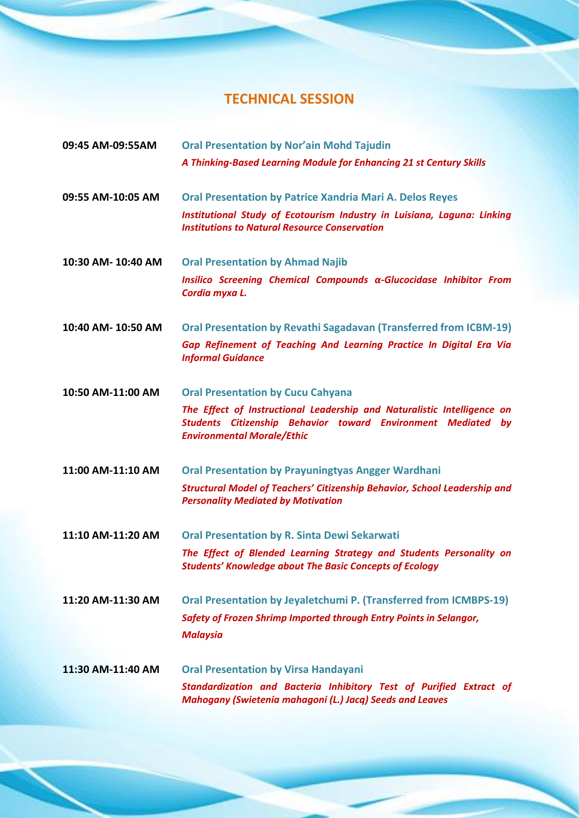## **TECHNICAL SESSION**

| 09:45 AM-09:55AM   | <b>Oral Presentation by Nor'ain Mohd Tajudin</b>                                                                                                                             |
|--------------------|------------------------------------------------------------------------------------------------------------------------------------------------------------------------------|
|                    | A Thinking-Based Learning Module for Enhancing 21 st Century Skills                                                                                                          |
| 09:55 AM-10:05 AM  | <b>Oral Presentation by Patrice Xandria Mari A. Delos Reyes</b>                                                                                                              |
|                    | Institutional Study of Ecotourism Industry in Luisiana, Laguna: Linking<br><b>Institutions to Natural Resource Conservation</b>                                              |
| 10:30 AM-10:40 AM  | <b>Oral Presentation by Ahmad Najib</b>                                                                                                                                      |
|                    | Insilico Screening Chemical Compounds α-Glucocidase Inhibitor From<br>Cordia myxa L.                                                                                         |
| 10:40 AM- 10:50 AM | <b>Oral Presentation by Revathi Sagadavan (Transferred from ICBM-19)</b>                                                                                                     |
|                    | Gap Refinement of Teaching And Learning Practice In Digital Era Via<br><b>Informal Guidance</b>                                                                              |
| 10:50 AM-11:00 AM  | <b>Oral Presentation by Cucu Cahyana</b>                                                                                                                                     |
|                    | The Effect of Instructional Leadership and Naturalistic Intelligence on<br>Students Citizenship Behavior toward Environment Mediated by<br><b>Environmental Morale/Ethic</b> |
| 11:00 AM-11:10 AM  | <b>Oral Presentation by Prayuningtyas Angger Wardhani</b>                                                                                                                    |
|                    | <b>Structural Model of Teachers' Citizenship Behavior, School Leadership and</b><br><b>Personality Mediated by Motivation</b>                                                |
| 11:10 AM-11:20 AM  | <b>Oral Presentation by R. Sinta Dewi Sekarwati</b>                                                                                                                          |
|                    | The Effect of Blended Learning Strategy and Students Personality on<br><b>Students' Knowledge about The Basic Concepts of Ecology</b>                                        |
| 11:20 AM-11:30 AM  | <b>Oral Presentation by Jeyaletchumi P. (Transferred from ICMBPS-19)</b>                                                                                                     |
|                    | Safety of Frozen Shrimp Imported through Entry Points in Selangor,                                                                                                           |
|                    | <b>Malaysia</b>                                                                                                                                                              |
| 11:30 AM-11:40 AM  | <b>Oral Presentation by Virsa Handayani</b>                                                                                                                                  |
|                    | Standardization and Bacteria Inhibitory Test of Purified Extract of<br><b>Mahogany (Swietenia mahagoni (L.) Jacq) Seeds and Leaves</b>                                       |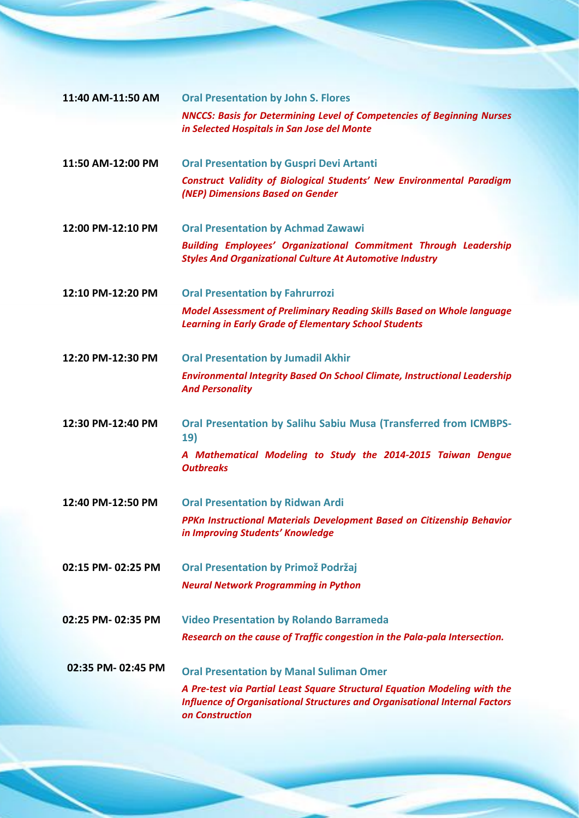| 11:40 AM-11:50 AM | <b>Oral Presentation by John S. Flores</b>                                                                                                                                        |
|-------------------|-----------------------------------------------------------------------------------------------------------------------------------------------------------------------------------|
|                   | <b>NNCCS: Basis for Determining Level of Competencies of Beginning Nurses</b><br>in Selected Hospitals in San Jose del Monte                                                      |
|                   |                                                                                                                                                                                   |
| 11:50 AM-12:00 PM | <b>Oral Presentation by Guspri Devi Artanti</b>                                                                                                                                   |
|                   | <b>Construct Validity of Biological Students' New Environmental Paradigm</b><br>(NEP) Dimensions Based on Gender                                                                  |
|                   |                                                                                                                                                                                   |
| 12:00 PM-12:10 PM | <b>Oral Presentation by Achmad Zawawi</b>                                                                                                                                         |
|                   | <b>Building Employees' Organizational Commitment Through Leadership</b><br><b>Styles And Organizational Culture At Automotive Industry</b>                                        |
| 12:10 PM-12:20 PM | <b>Oral Presentation by Fahrurrozi</b>                                                                                                                                            |
|                   | <b>Model Assessment of Preliminary Reading Skills Based on Whole language</b><br><b>Learning in Early Grade of Elementary School Students</b>                                     |
| 12:20 PM-12:30 PM | <b>Oral Presentation by Jumadil Akhir</b>                                                                                                                                         |
|                   | <b>Environmental Integrity Based On School Climate, Instructional Leadership</b><br><b>And Personality</b>                                                                        |
| 12:30 PM-12:40 PM | <b>Oral Presentation by Salihu Sabiu Musa (Transferred from ICMBPS-</b><br>19)                                                                                                    |
|                   | A Mathematical Modeling to Study the 2014-2015 Taiwan Dengue<br><b>Outbreaks</b>                                                                                                  |
| 12:40 PM-12:50 PM | <b>Oral Presentation by Ridwan Ardi</b>                                                                                                                                           |
|                   | PPKn Instructional Materials Development Based on Citizenship Behavior<br>in Improving Students' Knowledge                                                                        |
| 02:15 PM-02:25 PM | <b>Oral Presentation by Primož Podržaj</b>                                                                                                                                        |
|                   | <b>Neural Network Programming in Python</b>                                                                                                                                       |
| 02:25 PM-02:35 PM | <b>Video Presentation by Rolando Barrameda</b>                                                                                                                                    |
|                   | Research on the cause of Traffic congestion in the Pala-pala Intersection.                                                                                                        |
| 02:35 PM-02:45 PM | <b>Oral Presentation by Manal Suliman Omer</b>                                                                                                                                    |
|                   | A Pre-test via Partial Least Square Structural Equation Modeling with the<br><b>Influence of Organisational Structures and Organisational Internal Factors</b><br>on Construction |
|                   |                                                                                                                                                                                   |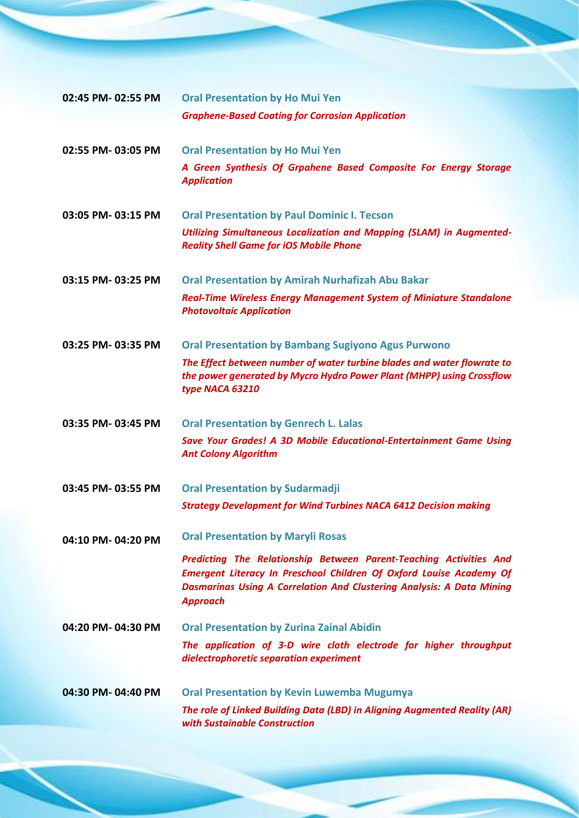| 02:45 PM-02:55 PM | <b>Oral Presentation by Ho Mui Yen</b>                                                                                                                                                                                                              |
|-------------------|-----------------------------------------------------------------------------------------------------------------------------------------------------------------------------------------------------------------------------------------------------|
|                   | <b>Graphene-Based Coating for Corrosion Application</b>                                                                                                                                                                                             |
|                   |                                                                                                                                                                                                                                                     |
| 02:55 PM-03:05 PM | <b>Oral Presentation by Ho Mui Yen</b>                                                                                                                                                                                                              |
|                   | A Green Synthesis Of Grpahene Based Composite For Energy Storage<br><b>Application</b>                                                                                                                                                              |
| 03:05 PM-03:15 PM | <b>Oral Presentation by Paul Dominic I. Tecson</b>                                                                                                                                                                                                  |
|                   | <b>Utilizing Simultaneous Localization and Mapping (SLAM) in Augmented-</b><br><b>Reality Shell Game for iOS Mobile Phone</b>                                                                                                                       |
| 03:15 PM-03:25 PM | <b>Oral Presentation by Amirah Nurhafizah Abu Bakar</b>                                                                                                                                                                                             |
|                   | <b>Real-Time Wireless Energy Management System of Miniature Standalone</b><br><b>Photovoltaic Application</b>                                                                                                                                       |
| 03:25 PM-03:35 PM | <b>Oral Presentation by Bambang Sugiyono Agus Purwono</b>                                                                                                                                                                                           |
|                   | The Effect between number of water turbine blades and water flowrate to<br>the power generated by Mycro Hydro Power Plant (MHPP) using Crossflow<br>type NACA 63210                                                                                 |
| 03:35 PM-03:45 PM | <b>Oral Presentation by Genrech L. Lalas</b>                                                                                                                                                                                                        |
|                   | Save Your Grades! A 3D Mobile Educational-Entertainment Game Using<br><b>Ant Colony Algorithm</b>                                                                                                                                                   |
| 03:45 PM-03:55 PM | <b>Oral Presentation by Sudarmadji</b>                                                                                                                                                                                                              |
|                   | <b>Strategy Development for Wind Turbines NACA 6412 Decision making</b>                                                                                                                                                                             |
| 04:10 PM-04:20 PM | <b>Oral Presentation by Maryli Rosas</b>                                                                                                                                                                                                            |
|                   | Predicting The Relationship Between Parent-Teaching Activities And<br><b>Emergent Literacy In Preschool Children Of Oxford Louise Academy Of</b><br><b>Dasmarinas Using A Correlation And Clustering Analysis: A Data Mining</b><br><b>Approach</b> |
| 04:20 PM-04:30 PM | <b>Oral Presentation by Zurina Zainal Abidin</b>                                                                                                                                                                                                    |
|                   | The application of 3-D wire cloth electrode for higher throughput<br>dielectrophoretic separation experiment                                                                                                                                        |
| 04:30 PM-04:40 PM | <b>Oral Presentation by Kevin Luwemba Mugumya</b>                                                                                                                                                                                                   |
|                   | The role of Linked Building Data (LBD) in Aligning Augmented Reality (AR)                                                                                                                                                                           |
|                   | with Sustainable Construction                                                                                                                                                                                                                       |
|                   |                                                                                                                                                                                                                                                     |